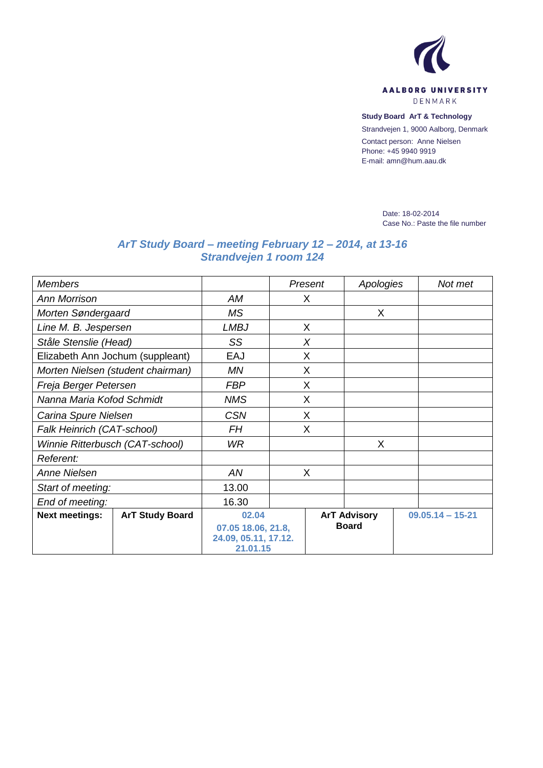

**Study Board ArT & Technology**

Strandvejen 1, 9000 Aalborg, Denmark

Contact person: Anne Nielsen Phone: +45 9940 9919 E-mail: amn@hum.aau.dk

> Date: 18-02-2014 Case No.: Paste the file number

## *ArT Study Board – meeting February 12 – 2014, at 13-16 Strandvejen 1 room 124*

| <b>Members</b>                                  |                                  |   | Present             | Apologies    |                      | Not met |
|-------------------------------------------------|----------------------------------|---|---------------------|--------------|----------------------|---------|
| <b>Ann Morrison</b>                             | AM                               | X |                     |              |                      |         |
| Morten Søndergaard                              | <b>MS</b>                        |   |                     | X            |                      |         |
| Line M. B. Jespersen                            | <b>LMBJ</b>                      | X |                     |              |                      |         |
| Ståle Stenslie (Head)                           | SS                               |   | X                   |              |                      |         |
| Elizabeth Ann Jochum (suppleant)                | EAJ                              | X |                     |              |                      |         |
| Morten Nielsen (student chairman)               | ΜN                               | X |                     |              |                      |         |
| Freja Berger Petersen                           | <b>FBP</b>                       | X |                     |              |                      |         |
| Nanna Maria Kofod Schmidt                       | <b>NMS</b>                       | X |                     |              |                      |         |
| Carina Spure Nielsen                            | <b>CSN</b>                       | X |                     |              |                      |         |
| Falk Heinrich (CAT-school)                      | <b>FH</b>                        | X |                     |              |                      |         |
| Winnie Ritterbusch (CAT-school)                 | WR.                              |   |                     | X            |                      |         |
| Referent:                                       |                                  |   |                     |              |                      |         |
| <b>Anne Nielsen</b>                             | AN                               | X |                     |              |                      |         |
| Start of meeting:                               | 13.00                            |   |                     |              |                      |         |
| End of meeting:                                 | 16.30                            |   |                     |              |                      |         |
| <b>Next meetings:</b><br><b>ArT Study Board</b> | 02.04                            |   | <b>ArT Advisory</b> |              | $09.05.14 - 15 - 21$ |         |
|                                                 | 07.05 18.06, 21.8,               |   |                     | <b>Board</b> |                      |         |
|                                                 | 24.09, 05.11, 17.12.<br>21.01.15 |   |                     |              |                      |         |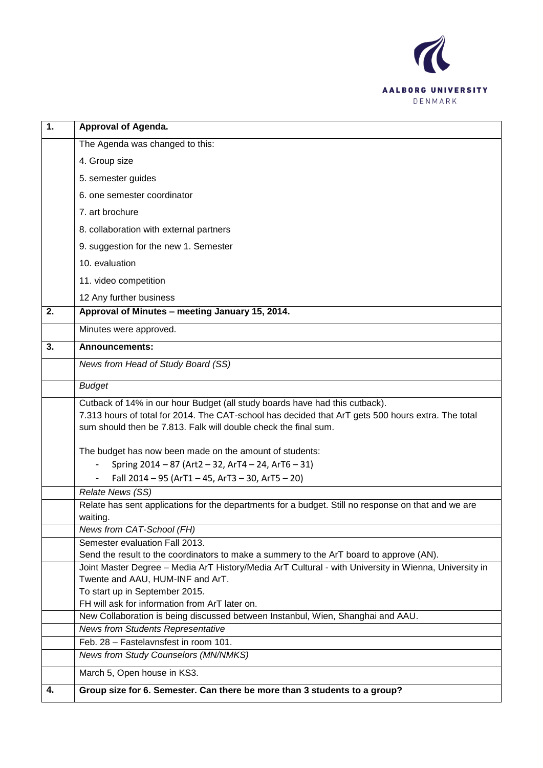

| 1. | Approval of Agenda.                                                                                                                                                                                                                                  |
|----|------------------------------------------------------------------------------------------------------------------------------------------------------------------------------------------------------------------------------------------------------|
|    | The Agenda was changed to this:                                                                                                                                                                                                                      |
|    | 4. Group size                                                                                                                                                                                                                                        |
|    | 5. semester guides                                                                                                                                                                                                                                   |
|    | 6. one semester coordinator                                                                                                                                                                                                                          |
|    | 7. art brochure                                                                                                                                                                                                                                      |
|    | 8. collaboration with external partners                                                                                                                                                                                                              |
|    | 9. suggestion for the new 1. Semester                                                                                                                                                                                                                |
|    | 10. evaluation                                                                                                                                                                                                                                       |
|    | 11. video competition                                                                                                                                                                                                                                |
|    | 12 Any further business                                                                                                                                                                                                                              |
| 2. | Approval of Minutes - meeting January 15, 2014.                                                                                                                                                                                                      |
|    |                                                                                                                                                                                                                                                      |
|    | Minutes were approved.                                                                                                                                                                                                                               |
| 3. | <b>Announcements:</b>                                                                                                                                                                                                                                |
|    | News from Head of Study Board (SS)                                                                                                                                                                                                                   |
|    | <b>Budget</b>                                                                                                                                                                                                                                        |
|    | Cutback of 14% in our hour Budget (all study boards have had this cutback).<br>7.313 hours of total for 2014. The CAT-school has decided that ArT gets 500 hours extra. The total<br>sum should then be 7.813. Falk will double check the final sum. |
|    | The budget has now been made on the amount of students:                                                                                                                                                                                              |
|    | Spring 2014 - 87 (Art2 - 32, ArT4 - 24, ArT6 - 31)<br>$\overline{\phantom{a}}$                                                                                                                                                                       |
|    | Fall 2014 - 95 (ArT1 - 45, ArT3 - 30, ArT5 - 20)                                                                                                                                                                                                     |
|    | Relate News (SS)                                                                                                                                                                                                                                     |
|    | Relate has sent applications for the departments for a budget. Still no response on that and we are                                                                                                                                                  |
|    | waiting.                                                                                                                                                                                                                                             |
|    | News from CAT-School (FH)                                                                                                                                                                                                                            |
|    | Semester evaluation Fall 2013.                                                                                                                                                                                                                       |
|    | Send the result to the coordinators to make a summery to the ArT board to approve (AN).<br>Joint Master Degree - Media ArT History/Media ArT Cultural - with University in Wienna, University in                                                     |
|    | Twente and AAU, HUM-INF and ArT.                                                                                                                                                                                                                     |
|    | To start up in September 2015.                                                                                                                                                                                                                       |
|    | FH will ask for information from ArT later on.                                                                                                                                                                                                       |
|    | New Collaboration is being discussed between Instanbul, Wien, Shanghai and AAU.                                                                                                                                                                      |
|    | <b>News from Students Representative</b>                                                                                                                                                                                                             |
|    | Feb. 28 - Fastelaynsfest in room 101.                                                                                                                                                                                                                |
|    | News from Study Counselors (MN/NMKS)                                                                                                                                                                                                                 |
|    | March 5, Open house in KS3.                                                                                                                                                                                                                          |
| 4. | Group size for 6. Semester. Can there be more than 3 students to a group?                                                                                                                                                                            |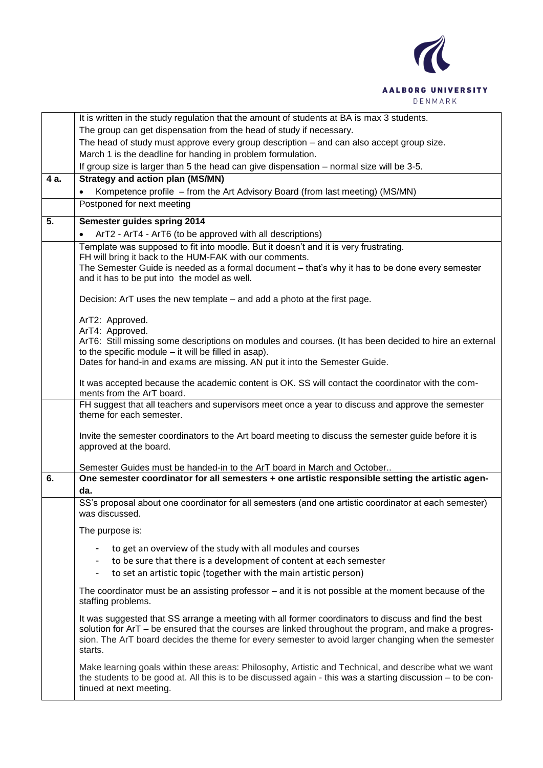

|      | It is written in the study regulation that the amount of students at BA is max 3 students.                                                                       |
|------|------------------------------------------------------------------------------------------------------------------------------------------------------------------|
|      | The group can get dispensation from the head of study if necessary.                                                                                              |
|      | The head of study must approve every group description - and can also accept group size.                                                                         |
|      | March 1 is the deadline for handing in problem formulation.                                                                                                      |
|      | If group size is larger than 5 the head can give dispensation – normal size will be 3-5.                                                                         |
| 4 a. | <b>Strategy and action plan (MS/MN)</b>                                                                                                                          |
|      | Kompetence profile – from the Art Advisory Board (from last meeting) (MS/MN)                                                                                     |
|      | Postponed for next meeting                                                                                                                                       |
| 5.   | Semester guides spring 2014                                                                                                                                      |
|      | ArT2 - ArT4 - ArT6 (to be approved with all descriptions)                                                                                                        |
|      | Template was supposed to fit into moodle. But it doesn't and it is very frustrating.                                                                             |
|      | FH will bring it back to the HUM-FAK with our comments.                                                                                                          |
|      | The Semester Guide is needed as a formal document - that's why it has to be done every semester                                                                  |
|      | and it has to be put into the model as well.                                                                                                                     |
|      | Decision: ArT uses the new template – and add a photo at the first page.                                                                                         |
|      |                                                                                                                                                                  |
|      | ArT2: Approved.                                                                                                                                                  |
|      | ArT4: Approved.                                                                                                                                                  |
|      | ArT6: Still missing some descriptions on modules and courses. (It has been decided to hire an external<br>to the specific module $-$ it will be filled in asap). |
|      | Dates for hand-in and exams are missing. AN put it into the Semester Guide.                                                                                      |
|      |                                                                                                                                                                  |
|      | It was accepted because the academic content is OK. SS will contact the coordinator with the com-                                                                |
|      | ments from the ArT board.                                                                                                                                        |
|      | FH suggest that all teachers and supervisors meet once a year to discuss and approve the semester<br>theme for each semester.                                    |
|      |                                                                                                                                                                  |
|      | Invite the semester coordinators to the Art board meeting to discuss the semester guide before it is                                                             |
|      | approved at the board.                                                                                                                                           |
|      | Semester Guides must be handed-in to the ArT board in March and October                                                                                          |
| 6.   | One semester coordinator for all semesters + one artistic responsible setting the artistic agen-                                                                 |
|      | da.                                                                                                                                                              |
|      | SS's proposal about one coordinator for all semesters (and one artistic coordinator at each semester)                                                            |
|      | was discussed.                                                                                                                                                   |
|      |                                                                                                                                                                  |
|      | The purpose is:                                                                                                                                                  |
|      | to get an overview of the study with all modules and courses                                                                                                     |
|      | to be sure that there is a development of content at each semester                                                                                               |
|      | to set an artistic topic (together with the main artistic person)                                                                                                |
|      | The coordinator must be an assisting professor – and it is not possible at the moment because of the                                                             |
|      | staffing problems.                                                                                                                                               |
|      | It was suggested that SS arrange a meeting with all former coordinators to discuss and find the best                                                             |
|      | solution for ArT - be ensured that the courses are linked throughout the program, and make a progres-                                                            |
|      | sion. The ArT board decides the theme for every semester to avoid larger changing when the semester                                                              |
|      | starts.                                                                                                                                                          |
|      | Make learning goals within these areas: Philosophy, Artistic and Technical, and describe what we want                                                            |
|      | the students to be good at. All this is to be discussed again - this was a starting discussion - to be con-                                                      |
|      | tinued at next meeting.                                                                                                                                          |
|      |                                                                                                                                                                  |